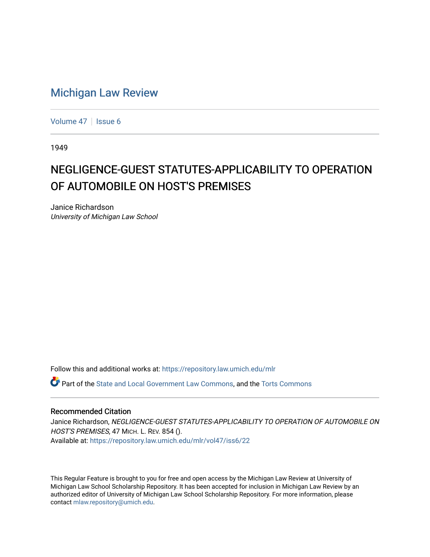## [Michigan Law Review](https://repository.law.umich.edu/mlr)

[Volume 47](https://repository.law.umich.edu/mlr/vol47) | [Issue 6](https://repository.law.umich.edu/mlr/vol47/iss6)

1949

## NEGLIGENCE-GUEST STATUTES-APPLICABILITY TO OPERATION OF AUTOMOBILE ON HOST'S PREMISES

Janice Richardson University of Michigan Law School

Follow this and additional works at: [https://repository.law.umich.edu/mlr](https://repository.law.umich.edu/mlr?utm_source=repository.law.umich.edu%2Fmlr%2Fvol47%2Fiss6%2F22&utm_medium=PDF&utm_campaign=PDFCoverPages) 

**P** Part of the [State and Local Government Law Commons](http://network.bepress.com/hgg/discipline/879?utm_source=repository.law.umich.edu%2Fmlr%2Fvol47%2Fiss6%2F22&utm_medium=PDF&utm_campaign=PDFCoverPages), and the [Torts Commons](http://network.bepress.com/hgg/discipline/913?utm_source=repository.law.umich.edu%2Fmlr%2Fvol47%2Fiss6%2F22&utm_medium=PDF&utm_campaign=PDFCoverPages)

## Recommended Citation

Janice Richardson, NEGLIGENCE-GUEST STATUTES-APPLICABILITY TO OPERATION OF AUTOMOBILE ON HOST'S PREMISES, 47 MICH. L. REV. 854 (). Available at: [https://repository.law.umich.edu/mlr/vol47/iss6/22](https://repository.law.umich.edu/mlr/vol47/iss6/22?utm_source=repository.law.umich.edu%2Fmlr%2Fvol47%2Fiss6%2F22&utm_medium=PDF&utm_campaign=PDFCoverPages) 

This Regular Feature is brought to you for free and open access by the Michigan Law Review at University of Michigan Law School Scholarship Repository. It has been accepted for inclusion in Michigan Law Review by an authorized editor of University of Michigan Law School Scholarship Repository. For more information, please contact [mlaw.repository@umich.edu](mailto:mlaw.repository@umich.edu).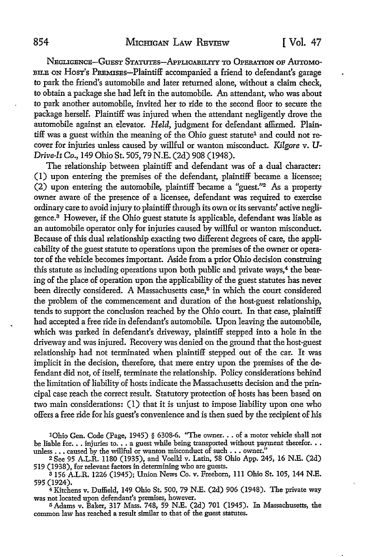NEGLIGENCE-GUEST STATUTES-APPLICABILITY TO OPERATION OF AUTOMO-BILE ON HOST's PREMISES-Plaintiff accompanied a friend to defendant's garage to park the friend's automobile and later returned alone, without a claim check, to obtain a package she had left in the automobile. An attendant, who was about to park another automobile, invited her to ride to the second Hoor to secure the package herself. Plaintiff was injured when the attendant negligently drove the automobile against an elevator. *Held,* judgment for defendant affirmed. Plaintiff was a guest within the meaning of the Ohio guest statute<sup>1</sup> and could not recover for injuries unless caused by willful or wanton misconduct. *Kilgore* v. *U-Drive-It Co.,* 149 Ohio St. 505, 79 N.E. (2d) 908 (1948).

The relationship between plaintiff and defendant was of a dual character: (I) upon entering the premises of the defendant, plaintiff became a licensee; (2) upon entering the automobile, plaintiff became a "guest."2 As a property owner aware of the presence of a licensee, defendant was required to exercise ordinary care to avoid injury to plaintiff through its own or its servants' active negligence. 3 However, if the Ohio guest statute is applicable, defendant was liable as an automobile operator only for injuries caused by willful or wanton misconduct. Because of this dual relationship exacting two different degrees of care, the applicability of the guest statute to operations upon the premises of the owner or operator of the vehicle becomes important. Aside from a prior Ohio decision construing this statute as including operations upon both public and private ways,<sup>4</sup> the bearing of the place of operation upon the applicability of the guest statutes has never been directly considered. A Massachusetts case,<sup>5</sup> in which the court considered the problem of the commencement and duration of the host-guest relationship, tends to support the conclusion reached by the Ohio court. In that case, plaintiff had accepted a free ride in defendant's automobile. Upon leaving the automobile, which was parked in defendant's driveway, plaintiff stepped into a hole in the driveway and was injured. Recovery was denied on the ground that the host-guest relationship had not terminated when plaintiff stepped out of the car. It was implicit in the decision, therefore, that mere entry upon the premises of the defendant did not, of itself, terminate the relationship. Policy considerations behind the limitation of liability of hosts indicate the Massachusetts decision and the principal case reach the correct result. Statutory protection of hosts has been based on two main considerations: (I) that it is unjust to impose liability upon one who offers a free ride for his guest's convenience and is then sued by the recipient of his

1Ohio Gen. Code (Page, 1945) § 6308-6. "The owner. . . of a motor vehicle shall not be liable for . . . injuries to . . . a guest while being transported without payment therefor . . . unless ... caused by the willful or wanton misconduct of such ... owner."

<sup>2</sup>See 95 A.LR. 1180 (1935), and Voelkl v. Latin, 58 Ohio App. 245, 16 N.E. (2d) 519 (1938), for relevant factors in determining who are guests.

<sup>3</sup>156 A.LR. 1226 (1945); Union News Co. v. Freeborn, 111 Ohio St. 105, 144 N.E. 595 (1924).

4Kitchens v. Duffield, 149 Ohio St. 500, 79 N.E. (2d) 906 (1948). The private way was not located upon defendant's premises, however.

<sup>5</sup>Adams v. Baker, 317 Mass. 748, 59 N.E. (2d) 701 (1945). In Massachusetts, the common law has reached a result similar to that of the guest statutes.